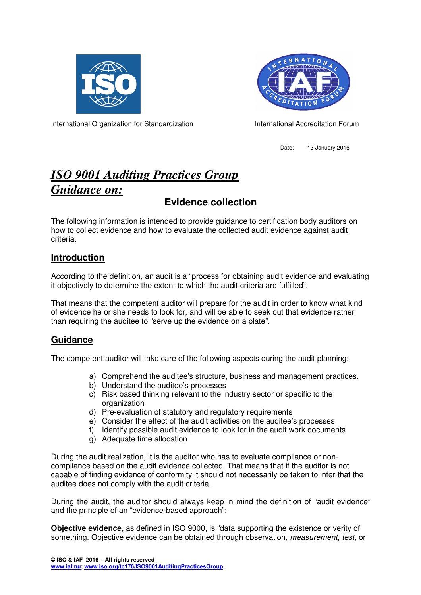



International Organization for Standardization **International Accreditation Forum** 

#### Date: 13 January 2016

# *ISO 9001 Auditing Practices Group Guidance on:*

# **Evidence collection**

The following information is intended to provide guidance to certification body auditors on how to collect evidence and how to evaluate the collected audit evidence against audit criteria.

## **Introduction**

According to the definition, an audit is a "process for obtaining audit evidence and evaluating it objectively to determine the extent to which the audit criteria are fulfilled".

That means that the competent auditor will prepare for the audit in order to know what kind of evidence he or she needs to look for, and will be able to seek out that evidence rather than requiring the auditee to "serve up the evidence on a plate".

## **Guidance**

The competent auditor will take care of the following aspects during the audit planning:

- a) Comprehend the auditee's structure, business and management practices.
- b) Understand the auditee's processes
- c) Risk based thinking relevant to the industry sector or specific to the organization
- d) Pre-evaluation of statutory and regulatory requirements
- e) Consider the effect of the audit activities on the auditee's processes
- f) Identify possible audit evidence to look for in the audit work documents
- g) Adequate time allocation

During the audit realization, it is the auditor who has to evaluate compliance or noncompliance based on the audit evidence collected. That means that if the auditor is not capable of finding evidence of conformity it should not necessarily be taken to infer that the auditee does not comply with the audit criteria.

During the audit, the auditor should always keep in mind the definition of "audit evidence" and the principle of an "evidence-based approach":

**Objective evidence,** as defined in ISO 9000, is "data supporting the existence or verity of something. Objective evidence can be obtained through observation, measurement, test, or